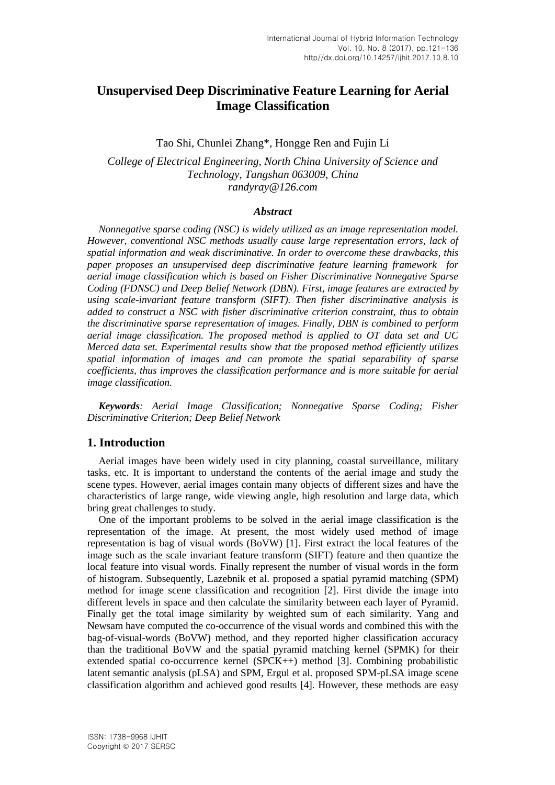# **Unsupervised Deep Discriminative Feature Learning for Aerial Image Classification**

# Tao Shi, Chunlei Zhang\*, Hongge Ren and Fujin Li

*College of Electrical Engineering, North China University of Science and Technology, Tangshan 063009, China randyray@126.com*

### *Abstract*

*Nonnegative sparse coding (NSC) is widely utilized as an image representation model. However, conventional NSC methods usually cause large representation errors, lack of spatial information and weak discriminative. In order to overcome these drawbacks, this paper proposes an unsupervised deep discriminative feature learning framework for aerial image classification which is based on Fisher Discriminative Nonnegative Sparse Coding (FDNSC) and Deep Belief Network (DBN). First, image features are extracted by using scale-invariant feature transform (SIFT). Then fisher discriminative analysis is added to construct a NSC with fisher discriminative criterion constraint, thus to obtain the discriminative sparse representation of images. Finally, DBN is combined to perform aerial image classification. The proposed method is applied to OT data set and UC Merced data set. Experimental results show that the proposed method efficiently utilizes spatial information of images and can promote the spatial separability of sparse coefficients, thus improves the classification performance and is more suitable for aerial image classification.*

*Keywords: Aerial Image Classification; Nonnegative Sparse Coding; Fisher Discriminative Criterion; Deep Belief Network*

# **1. Introduction**

Aerial images have been widely used in city planning, coastal surveillance, military tasks, etc. It is important to understand the contents of the aerial image and study the scene types. However, aerial images contain many objects of different sizes and have the characteristics of large range, wide viewing angle, high resolution and large data, which bring great challenges to study.

One of the important problems to be solved in the aerial image classification is the representation of the image. At present, the most widely used method of image representation is bag of visual words (BoVW) [1]. First extract the local features of the image such as the scale invariant feature transform (SIFT) feature and then quantize the local feature into visual words. Finally represent the number of visual words in the form of histogram. Subsequently, Lazebnik et al. proposed a spatial pyramid matching (SPM) method for image scene classification and recognition [2]. First divide the image into different levels in space and then calculate the similarity between each layer of Pyramid. Finally get the total image similarity by weighted sum of each similarity. Yang and Newsam have computed the co-occurrence of the visual words and combined this with the bag-of-visual-words (BoVW) method, and they reported higher classification accuracy than the traditional BoVW and the spatial pyramid matching kernel (SPMK) for their extended spatial co-occurrence kernel (SPCK++) method [3]. Combining probabilistic latent semantic analysis (pLSA) and SPM, Ergul et al. proposed SPM-pLSA image scene classification algorithm and achieved good results [4]. However, these methods are easy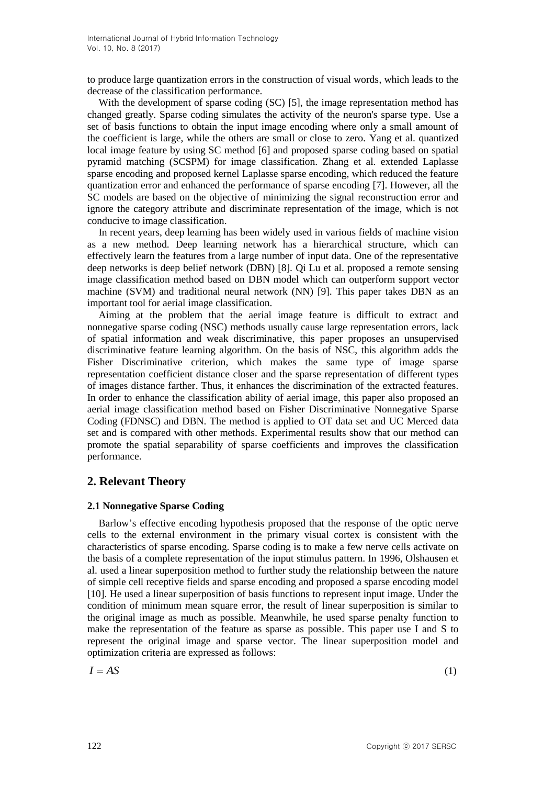to produce large quantization errors in the construction of visual words, which leads to the decrease of the classification performance.

With the development of sparse coding (SC) [5], the image representation method has changed greatly. Sparse coding simulates the activity of the neuron's sparse type. Use a set of basis functions to obtain the input image encoding where only a small amount of the coefficient is large, while the others are small or close to zero. Yang et al. quantized local image feature by using SC method [6] and proposed sparse coding based on spatial pyramid matching (SCSPM) for image classification. Zhang et al. extended Laplasse sparse encoding and proposed kernel Laplasse sparse encoding, which reduced the feature quantization error and enhanced the performance of sparse encoding [7]. However, all the SC models are based on the objective of minimizing the signal reconstruction error and ignore the category attribute and discriminate representation of the image, which is not conducive to image classification.

In recent years, deep learning has been widely used in various fields of machine vision as a new method. Deep learning network has a hierarchical structure, which can effectively learn the features from a large number of input data. One of the representative deep networks is deep belief network (DBN) [8]. Qi Lu et al. proposed a remote sensing image classification method based on DBN model which can outperform support vector machine (SVM) and traditional neural network (NN) [9]. This paper takes DBN as an important tool for aerial image classification.

Aiming at the problem that the aerial image feature is difficult to extract and nonnegative sparse coding (NSC) methods usually cause large representation errors, lack of spatial information and weak discriminative, this paper proposes an unsupervised discriminative feature learning algorithm. On the basis of NSC, this algorithm adds the Fisher Discriminative criterion, which makes the same type of image sparse representation coefficient distance closer and the sparse representation of different types of images distance farther. Thus, it enhances the discrimination of the extracted features. In order to enhance the classification ability of aerial image, this paper also proposed an aerial image classification method based on Fisher Discriminative Nonnegative Sparse Coding (FDNSC) and DBN. The method is applied to OT data set and UC Merced data set and is compared with other methods. Experimental results show that our method can promote the spatial separability of sparse coefficients and improves the classification performance.

# **2. Relevant Theory**

# **2.1 Nonnegative Sparse Coding**

Barlow's effective encoding hypothesis proposed that the response of the optic nerve cells to the external environment in the primary visual cortex is consistent with the characteristics of sparse encoding. Sparse coding is to make a few nerve cells activate on the basis of a complete representation of the input stimulus pattern. In 1996, Olshausen et al. used a linear superposition method to further study the relationship between the nature of simple cell receptive fields and sparse encoding and proposed a sparse encoding model [10]. He used a linear superposition of basis functions to represent input image. Under the condition of minimum mean square error, the result of linear superposition is similar to the original image as much as possible. Meanwhile, he used sparse penalty function to make the representation of the feature as sparse as possible. This paper use I and S to represent the original image and sparse vector. The linear superposition model and optimization criteria are expressed as follows:

$$
I = AS \tag{1}
$$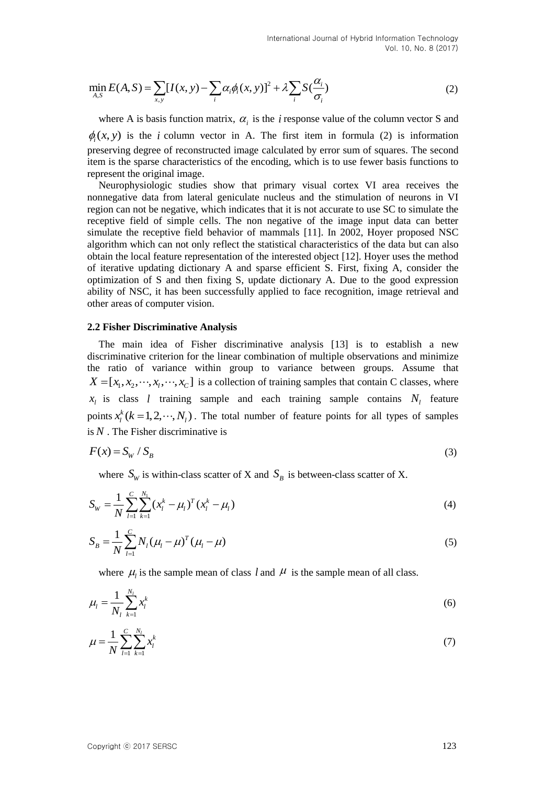$$
\min_{A,S} E(A,S) = \sum_{x,y} [I(x,y) - \sum_{i} \alpha_i \phi_i(x,y)]^2 + \lambda \sum_{i} S(\frac{\alpha_i}{\sigma_i})
$$
\n(2)

where A is basis function matrix,  $\alpha_i$  is the *i* response value of the column vector S and  $\phi_i(x, y)$  is the *i* column vector in A. The first item in formula (2) is information preserving degree of reconstructed image calculated by error sum of squares. The second item is the sparse characteristics of the encoding, which is to use fewer basis functions to represent the original image.

migri  $E(A, S) = \sum_{i} [I(x, y) - \sum_{i} a_{i} \phi(x, y)]^2 + \lambda \sum_{i} \frac{\sum_{i} a_{i} \phi(x)}{c_i}$ <br>
where A is hasts function matrix,  $a_i$  is the *i* response value of the column vector S and<br>
g(t,  $x$ ) is the following vector in A., The Iris it and Neurophysiologic studies show that primary visual cortex VI area receives the nonnegative data from lateral geniculate nucleus and the stimulation of neurons in VI region can not be negative, which indicates that it is not accurate to use SC to simulate the receptive field of simple cells. The non negative of the image input data can better simulate the receptive field behavior of mammals [11]. In 2002, Hoyer proposed NSC algorithm which can not only reflect the statistical characteristics of the data but can also obtain the local feature representation of the interested object [12]. Hoyer uses the method of iterative updating dictionary A and sparse efficient S. First, fixing A, consider the optimization of S and then fixing S, update dictionary A. Due to the good expression ability of NSC, it has been successfully applied to face recognition, image retrieval and other areas of computer vision.

### **2.2 Fisher Discriminative Analysis**

The main idea of Fisher discriminative analysis [13] is to establish a new discriminative criterion for the linear combination of multiple observations and minimize the ratio of variance within group to variance between groups. Assume that  $X = [x_1, x_2, \dots, x_i, \dots, x_C]$  is a collection of training samples that contain C classes, where  $x_l$  is class *l* training sample and each training sample contains  $N_l$  feature points  $x_i^k$  ( $k = 1, 2, \dots, N_i$ ). The total number of feature points for all types of samples is *N* . The Fisher discriminative is

$$
F(x) = S_W / S_B \tag{3}
$$

where  $S_W$  is within-class scatter of X and  $S_B$  is between-class scatter of X.

$$
S_W = \frac{1}{N} \sum_{l=1}^{C} \sum_{k=1}^{N_1} (x_l^k - \mu_l)^T (x_l^k - \mu_l)
$$
\n(4)

$$
S_B = \frac{1}{N} \sum_{l=1}^{C} N_l (\mu_l - \mu)^T (\mu_l - \mu)
$$
\n(5)

where  $\mu_l$  is the sample mean of class *l* and  $\mu$  is the sample mean of all class.

$$
\mu_l = \frac{1}{N_l} \sum_{k=1}^{N_l} x_l^k \tag{6}
$$

$$
\mu = \frac{1}{N} \sum_{l=1}^{C} \sum_{k=1}^{N_l} x_l^k \tag{7}
$$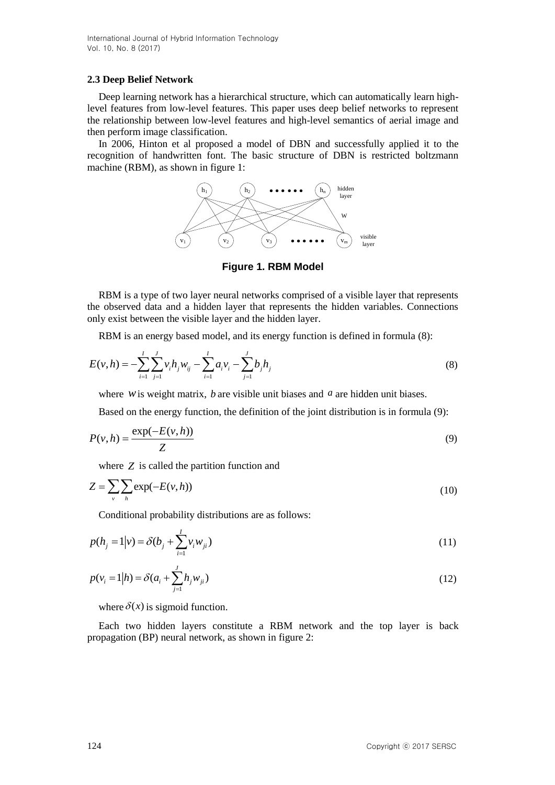# **2.3 Deep Belief Network**

Deep learning network has a hierarchical structure, which can automatically learn highlevel features from low-level features. This paper uses deep belief networks to represent the relationship between low-level features and high-level semantics of aerial image and then perform image classification.

In 2006, Hinton et al proposed a model of DBN and successfully applied it to the recognition of handwritten font. The basic structure of DBN is restricted boltzmann machine (RBM), as shown in figure 1:



**Figure 1. RBM Model**

RBM is a type of two layer neural networks comprised of a visible layer that represents the observed data and a hidden layer that represents the hidden variables. Connections only exist between the visible layer and the hidden layer.

RBM is an energy based model, and its energy function is defined in formula (8):

$$
E(v, h) = -\sum_{i=1}^{I} \sum_{j=1}^{J} v_i h_j w_{ij} - \sum_{i=1}^{I} a_i v_i - \sum_{j=1}^{J} b_j h_j
$$
\n(8)

where  $w$  is weight matrix,  $b$  are visible unit biases and  $a$  are hidden unit biases.

Based on the energy function, the definition of the joint distribution is in formula (9):

$$
P(v,h) = \frac{\exp(-E(v,h))}{Z}
$$
\n(9)

where *Z* is called the partition function and

$$
Z = \sum_{\nu} \sum_{h} \exp(-E(\nu, h))
$$
\n(10)

Conditional probability distributions are as follows:

$$
p(h_j = 1 | v) = \delta(b_j + \sum_{i=1}^{I} v_i w_{ji})
$$
\n(11)

$$
p(v_i = 1|h) = \delta(a_i + \sum_{j=1}^{J} h_j w_{ji})
$$
\n(12)

where  $\delta(x)$  is sigmoid function.

Each two hidden layers constitute a RBM network and the top layer is back propagation (BP) neural network, as shown in figure 2: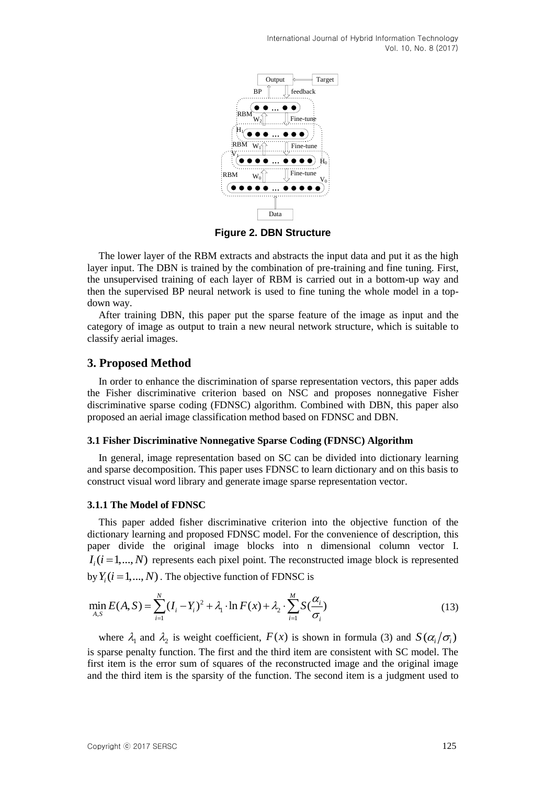

**Figure 2. DBN Structure**

The lower layer of the RBM extracts and abstracts the input data and put it as the high layer input. The DBN is trained by the combination of pre-training and fine tuning. First, the unsupervised training of each layer of RBM is carried out in a bottom-up way and then the supervised BP neural network is used to fine tuning the whole model in a topdown way.

After training DBN, this paper put the sparse feature of the image as input and the category of image as output to train a new neural network structure, which is suitable to classify aerial images.

# **3. Proposed Method**

In order to enhance the discrimination of sparse representation vectors, this paper adds the Fisher discriminative criterion based on NSC and proposes nonnegative Fisher discriminative sparse coding (FDNSC) algorithm. Combined with DBN, this paper also proposed an aerial image classification method based on FDNSC and DBN.

### **3.1 Fisher Discriminative Nonnegative Sparse Coding (FDNSC) Algorithm**

In general, image representation based on SC can be divided into dictionary learning and sparse decomposition. This paper uses FDNSC to learn dictionary and on this basis to construct visual word library and generate image sparse representation vector.

### **3.1.1 The Model of FDNSC**

This paper added fisher discriminative criterion into the objective function of the dictionary learning and proposed FDNSC model. For the convenience of description, this paper divide the original image blocks into n dimensional column vector I.  $I_i$  ( $i = 1,..., N$ ) represents each pixel point. The reconstructed image block is represented by  $Y_i$   $(i = 1,..., N)$  . The objective function of FDNSC is

$$
\min_{A,S} E(A,S) = \sum_{i=1}^{N} (I_i - Y_i)^2 + \lambda_1 \cdot \ln F(x) + \lambda_2 \cdot \sum_{i=1}^{M} S(\frac{\alpha_i}{\sigma_i})
$$
\n(13)

where  $\lambda_1$  and  $\lambda_2$  is weight coefficient,  $F(x)$  is shown in formula (3) and  $S(\alpha_i/\sigma_i)$ is sparse penalty function. The first and the third item are consistent with SC model. The first item is the error sum of squares of the reconstructed image and the original image and the third item is the sparsity of the function. The second item is a judgment used to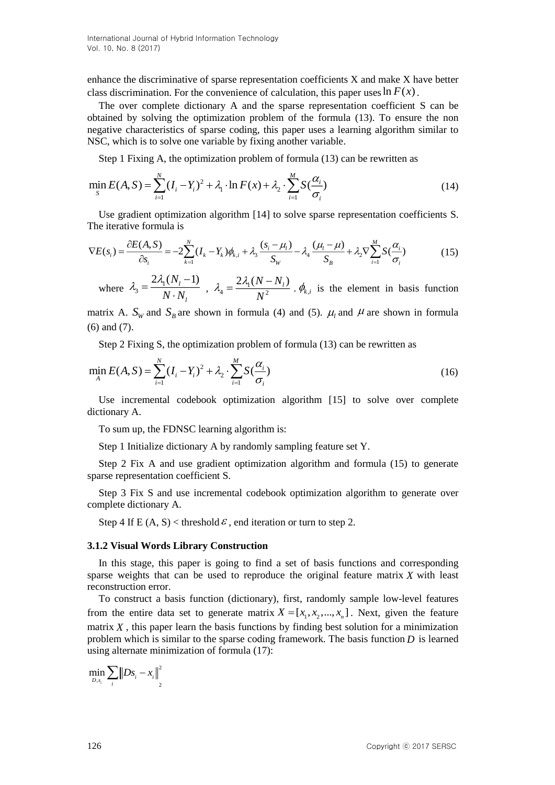enhance the discriminative of sparse representation coefficients X and make X have better class discrimination. For the convenience of calculation, this paper uses  $\ln F(x)$ .

The over complete dictionary A and the sparse representation coefficient S can be obtained by solving the optimization problem of the formula (13). To ensure the non negative characteristics of sparse coding, this paper uses a learning algorithm similar to NSC, which is to solve one variable by fixing another variable.

Step 1 Fixing A, the optimization problem of formula (13) can be rewritten as

$$
\min_{S} E(A, S) = \sum_{i=1}^{N} (I_i - Y_i)^2 + \lambda_1 \cdot \ln F(x) + \lambda_2 \cdot \sum_{i=1}^{M} S(\frac{\alpha_i}{\sigma_i})
$$
(14)

Use gradient optimization algorithm [14] to solve sparse representation coefficients S. The iterative formula is

$$
\nabla E(s_i) = \frac{\partial E(A, S)}{\partial s_i} = -2 \sum_{k=1}^{N} (I_k - Y_k) \phi_{k,i} + \lambda_3 \frac{(s_i - \mu_i)}{S_W} - \lambda_4 \frac{(\mu_i - \mu)}{S_B} + \lambda_2 \nabla \sum_{i=1}^{M} S(\frac{\alpha_i}{\sigma_i})
$$
(15)

where  $\lambda_3 = \frac{2\lambda_1 (N_l - 1)}{N_l N_l}$ *l N*  $N \cdot N$  $\lambda_3 = \frac{2\lambda_1(N_l-1)}{N \cdot N}$ ,  $\lambda_4 = \frac{2\lambda_1(N-1)}{N^2}$  $2\lambda_1 (N-N_l)$ *N*  $\lambda_4 = \frac{2\lambda_1 (N - N_i)}{N_i^2}$ .  $\phi_{k,i}$  is the element in basis function

matrix A.  $S_w$  and  $S_B$  are shown in formula (4) and (5).  $\mu_l$  and  $\mu$  are shown in formula (6) and (7).

Step 2 Fixing S, the optimization problem of formula (13) can be rewritten as

$$
\min_{A} E(A, S) = \sum_{i=1}^{N} (I_i - Y_i)^2 + \lambda_2 \cdot \sum_{i=1}^{M} S(\frac{\alpha_i}{\sigma_i})
$$
\n(16)

Use incremental codebook optimization algorithm [15] to solve over complete dictionary A.

To sum up, the FDNSC learning algorithm is:

Step 1 Initialize dictionary A by randomly sampling feature set Y.

Step 2 Fix A and use gradient optimization algorithm and formula (15) to generate sparse representation coefficient S.

Step 3 Fix S and use incremental codebook optimization algorithm to generate over complete dictionary A.

Step 4 If E  $(A, S)$  < threshold  $\epsilon$ , end iteration or turn to step 2.

#### **3.1.2 Visual Words Library Construction**

In this stage, this paper is going to find a set of basis functions and corresponding sparse weights that can be used to reproduce the original feature matrix *X* with least reconstruction error.

To construct a basis function (dictionary), first, randomly sample low-level features from the entire data set to generate matrix  $X = [x_1, x_2, ..., x_n]$ . Next, given the feature matrix  $X$ , this paper learn the basis functions by finding best solution for a minimization problem which is similar to the sparse coding framework. The basis function *D* is learned using alternate minimization of formula (17):

$$
\min_{D,s_i} \sum_i \left\| Ds_i - x_i \right\|_2^2
$$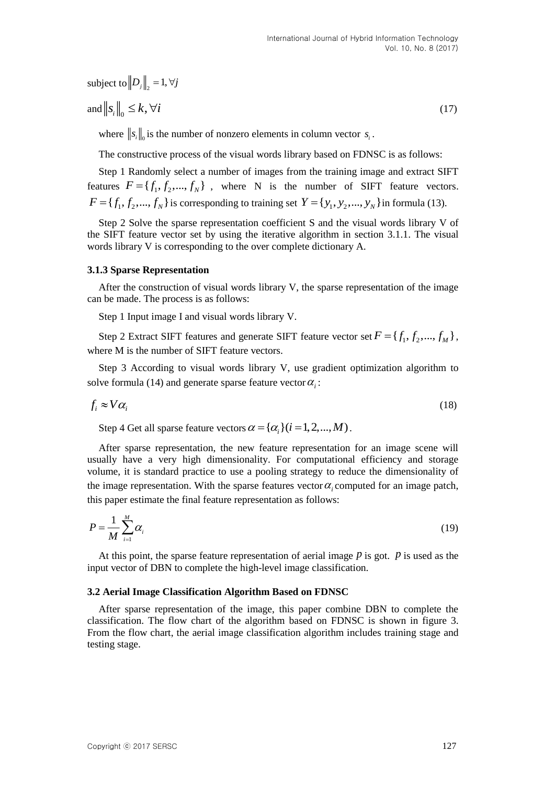subject to 
$$
\left\|D_j\right\|_2 = 1, \forall j
$$

$$
\text{and } \left\|s_i\right\|_0 \le k, \forall i \tag{17}
$$

where  $\|s_i\|_0$  is the number of nonzero elements in column vector  $s_i$ .

The constructive process of the visual words library based on FDNSC is as follows:

Step 1 Randomly select a number of images from the training image and extract SIFT features  $F = \{f_1, f_2, ..., f_N\}$ , where N is the number of SIFT feature vectors.  $F = \{f_1, f_2, \dots, f_N\}$  is corresponding to training set  $Y = \{y_1, y_2, \dots, y_N\}$  in formula (13).

Step 2 Solve the sparse representation coefficient S and the visual words library V of the SIFT feature vector set by using the iterative algorithm in section 3.1.1. The visual words library V is corresponding to the over complete dictionary A.

#### **3.1.3 Sparse Representation**

After the construction of visual words library V, the sparse representation of the image can be made. The process is as follows:

Step 1 Input image I and visual words library V.

Step 2 Extract SIFT features and generate SIFT feature vector set  $F = \{f_1, f_2, ..., f_M\}$ , where M is the number of SIFT feature vectors.

Step 3 According to visual words library V, use gradient optimization algorithm to solve formula (14) and generate sparse feature vector  $\alpha_i$ :

$$
f_i \approx V \alpha_i \tag{18}
$$

Step 4 Get all sparse feature vectors  $\alpha = {\alpha_i}(i = 1,2,...,M)$ .

After sparse representation, the new feature representation for an image scene will usually have a very high dimensionality. For computational efficiency and storage volume, it is standard practice to use a pooling strategy to reduce the dimensionality of the image representation. With the sparse features vector  $\alpha_i$  computed for an image patch, this paper estimate the final feature representation as follows:

$$
P = \frac{1}{M} \sum_{i=1}^{M} \alpha_i
$$
 (19)

At this point, the sparse feature representation of aerial image  *is got.*  $*p*$  *is used as the* input vector of DBN to complete the high-level image classification.

#### **3.2 Aerial Image Classification Algorithm Based on FDNSC**

After sparse representation of the image, this paper combine DBN to complete the classification. The flow chart of the algorithm based on FDNSC is shown in figure 3. From the flow chart, the aerial image classification algorithm includes training stage and testing stage.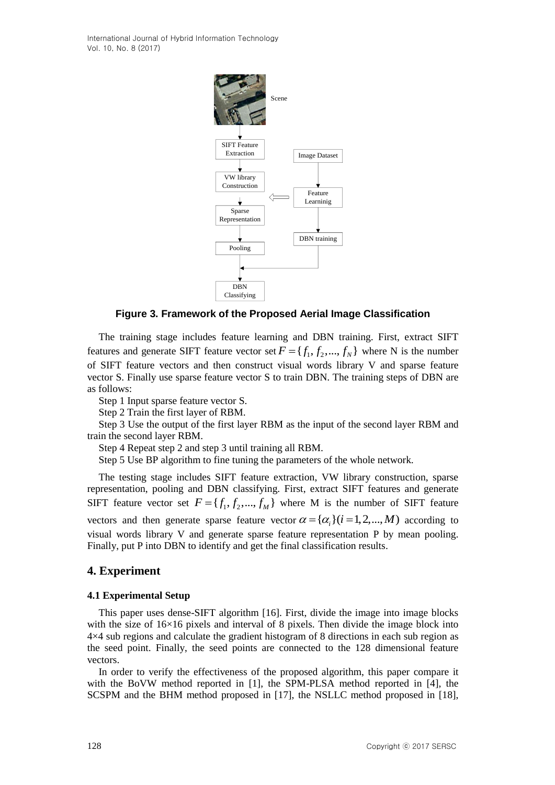

**Figure 3. Framework of the Proposed Aerial Image Classification**

The training stage includes feature learning and DBN training. First, extract SIFT features and generate SIFT feature vector set  $F = \{f_1, f_2, ..., f_N\}$  where N is the number of SIFT feature vectors and then construct visual words library V and sparse feature vector S. Finally use sparse feature vector S to train DBN. The training steps of DBN are as follows:

Step 1 Input sparse feature vector S.

Step 2 Train the first layer of RBM.

Step 3 Use the output of the first layer RBM as the input of the second layer RBM and train the second layer RBM.

Step 4 Repeat step 2 and step 3 until training all RBM.

Step 5 Use BP algorithm to fine tuning the parameters of the whole network.

The testing stage includes SIFT feature extraction, VW library construction, sparse representation, pooling and DBN classifying. First, extract SIFT features and generate SIFT feature vector set  $F = \{f_1, f_2, ..., f_M\}$  where M is the number of SIFT feature vectors and then generate sparse feature vector  $\alpha = {\alpha_i}(i = 1, 2, ..., M)$  according to visual words library V and generate sparse feature representation P by mean pooling. Finally, put P into DBN to identify and get the final classification results.

# **4. Experiment**

# **4.1 Experimental Setup**

This paper uses dense-SIFT algorithm [16]. First, divide the image into image blocks with the size of  $16\times16$  pixels and interval of 8 pixels. Then divide the image block into 4×4 sub regions and calculate the gradient histogram of 8 directions in each sub region as the seed point. Finally, the seed points are connected to the 128 dimensional feature vectors.

In order to verify the effectiveness of the proposed algorithm, this paper compare it with the BoVW method reported in [1], the SPM-PLSA method reported in [4], the SCSPM and the BHM method proposed in [17], the NSLLC method proposed in [18],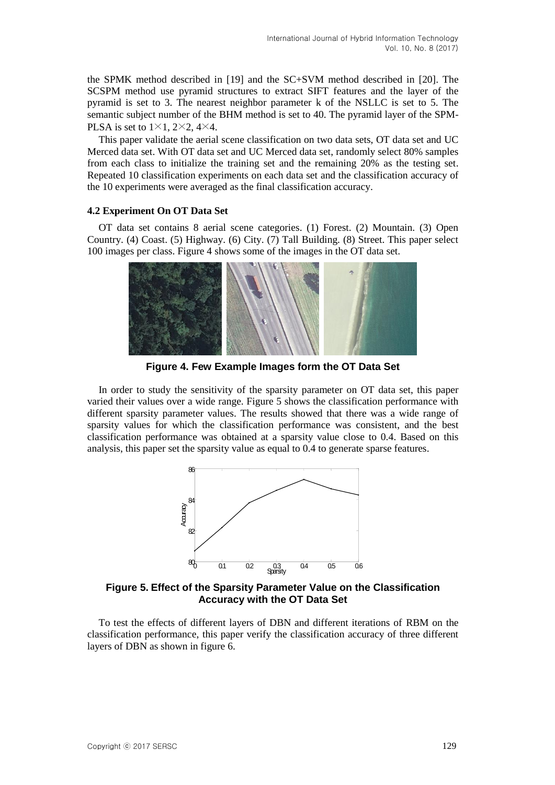the SPMK method described in [19] and the SC+SVM method described in [20]. The SCSPM method use pyramid structures to extract SIFT features and the layer of the pyramid is set to 3. The nearest neighbor parameter k of the NSLLC is set to 5. The semantic subject number of the BHM method is set to 40. The pyramid layer of the SPM-PLSA is set to  $1\times1$ ,  $2\times2$ ,  $4\times4$ .

This paper validate the aerial scene classification on two data sets, OT data set and UC Merced data set. With OT data set and UC Merced data set, randomly select 80% samples from each class to initialize the training set and the remaining 20% as the testing set. Repeated 10 classification experiments on each data set and the classification accuracy of the 10 experiments were averaged as the final classification accuracy.

### **4.2 Experiment On OT Data Set**

OT data set contains 8 aerial scene categories. (1) Forest. (2) Mountain. (3) Open Country. (4) Coast. (5) Highway. (6) City. (7) Tall Building. (8) Street. This paper select 100 images per class. Figure 4 shows some of the images in the OT data set.



**Figure 4. Few Example Images form the OT Data Set**

In order to study the sensitivity of the sparsity parameter on OT data set, this paper varied their values over a wide range. Figure 5 shows the classification performance with different sparsity parameter values. The results showed that there was a wide range of sparsity values for which the classification performance was consistent, and the best classification performance was obtained at a sparsity value close to 0.4. Based on this analysis, this paper set the sparsity value as equal to 0.4 to generate sparse features.



**Figure 5. Effect of the Sparsity Parameter Value on the Classification Accuracy with the OT Data Set**

To test the effects of different layers of DBN and different iterations of RBM on the classification performance, this paper verify the classification accuracy of three different layers of DBN as shown in figure 6.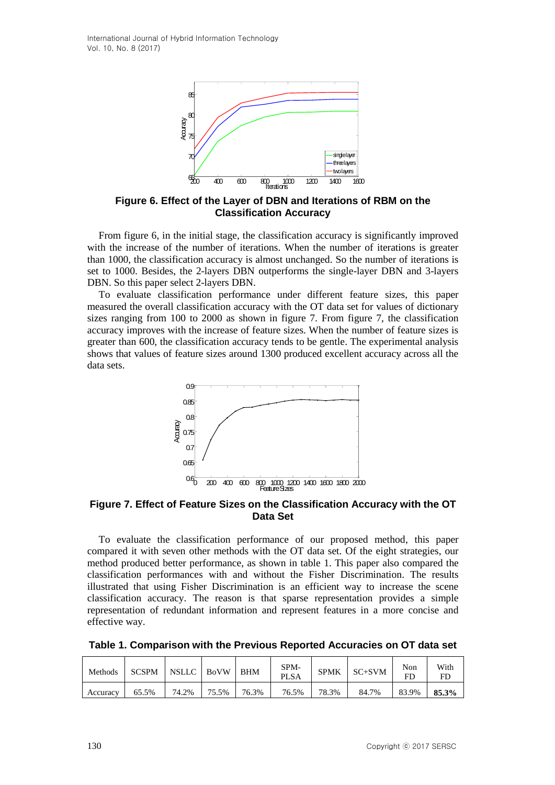

**Figure 6. Effect of the Layer of DBN and Iterations of RBM on the Classification Accuracy**

From figure 6, in the initial stage, the classification accuracy is significantly improved with the increase of the number of iterations. When the number of iterations is greater than 1000, the classification accuracy is almost unchanged. So the number of iterations is set to 1000. Besides, the 2-layers DBN outperforms the single-layer DBN and 3-layers DBN. So this paper select 2-layers DBN.

To evaluate classification performance under different feature sizes, this paper measured the overall classification accuracy with the OT data set for values of dictionary sizes ranging from 100 to 2000 as shown in figure 7. From figure 7, the classification accuracy improves with the increase of feature sizes. When the number of feature sizes is greater than 600, the classification accuracy tends to be gentle. The experimental analysis shows that values of feature sizes around 1300 produced excellent accuracy across all the data sets.



**Figure 7. Effect of Feature Sizes on the Classification Accuracy with the OT Data Set**

To evaluate the classification performance of our proposed method, this paper compared it with seven other methods with the OT data set. Of the eight strategies, our method produced better performance, as shown in table 1. This paper also compared the classification performances with and without the Fisher Discrimination. The results illustrated that using Fisher Discrimination is an efficient way to increase the scene classification accuracy. The reason is that sparse representation provides a simple representation of redundant information and represent features in a more concise and effective way.

**Table 1. Comparison with the Previous Reported Accuracies on OT data set**

| Methods  | <b>SCSPM</b> | NSLLC | <b>BoVW</b> | <b>BHM</b> | SPM-<br><b>PLSA</b> | <b>SPMK</b> | $SC+SVM$ | Non<br>FD | With<br>FD |
|----------|--------------|-------|-------------|------------|---------------------|-------------|----------|-----------|------------|
| Accuracy | 65.5%        | 74.2% | 75.5%       | 76.3%      | 76.5%               | 78.3%       | 84.7%    | 83.9%     | 85.3%      |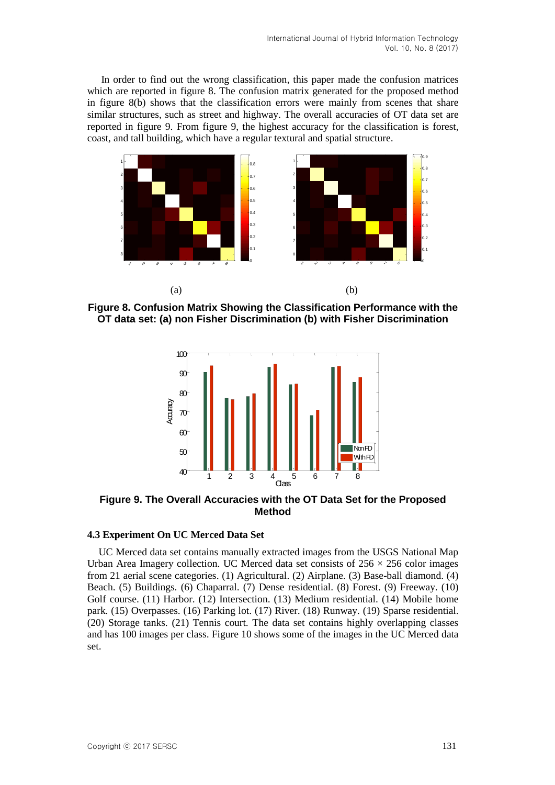In order to find out the wrong classification, this paper made the confusion matrices which are reported in figure 8. The confusion matrix generated for the proposed method in figure 8(b) shows that the classification errors were mainly from scenes that share similar structures, such as street and highway. The overall accuracies of OT data set are reported in figure 9. From figure 9, the highest accuracy for the classification is forest, coast, and tall building, which have a regular textural and spatial structure.



**Figure 8. Confusion Matrix Showing the Classification Performance with the OT data set: (a) non Fisher Discrimination (b) with Fisher Discrimination**



**Figure 9. The Overall Accuracies with the OT Data Set for the Proposed Method**

### **4.3 Experiment On UC Merced Data Set**

UC Merced data set contains manually extracted images from the USGS National Map Urban Area Imagery collection. UC Merced data set consists of  $256 \times 256$  color images from 21 aerial scene categories. (1) Agricultural. (2) Airplane. (3) Base-ball diamond. (4) Beach. (5) Buildings. (6) Chaparral. (7) Dense residential. (8) Forest. (9) Freeway. (10) Golf course. (11) Harbor. (12) Intersection. (13) Medium residential. (14) Mobile home park. (15) Overpasses. (16) Parking lot. (17) River. (18) Runway. (19) Sparse residential. (20) Storage tanks. (21) Tennis court. The data set contains highly overlapping classes and has 100 images per class. Figure 10 shows some of the images in the UC Merced data set.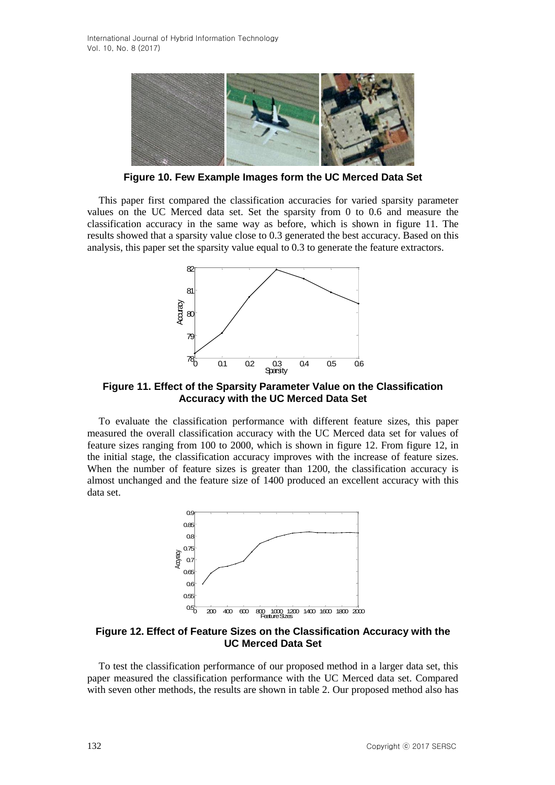

**Figure 10. Few Example Images form the UC Merced Data Set**

This paper first compared the classification accuracies for varied sparsity parameter values on the UC Merced data set. Set the sparsity from 0 to 0.6 and measure the classification accuracy in the same way as before, which is shown in figure 11. The results showed that a sparsity value close to 0.3 generated the best accuracy. Based on this analysis, this paper set the sparsity value equal to 0.3 to generate the feature extractors.



**Figure 11. Effect of the Sparsity Parameter Value on the Classification Accuracy with the UC Merced Data Set**

To evaluate the classification performance with different feature sizes, this paper measured the overall classification accuracy with the UC Merced data set for values of feature sizes ranging from 100 to 2000, which is shown in figure 12. From figure 12, in the initial stage, the classification accuracy improves with the increase of feature sizes. When the number of feature sizes is greater than 1200, the classification accuracy is almost unchanged and the feature size of 1400 produced an excellent accuracy with this data set.



**Figure 12. Effect of Feature Sizes on the Classification Accuracy with the UC Merced Data Set**

To test the classification performance of our proposed method in a larger data set, this paper measured the classification performance with the UC Merced data set. Compared with seven other methods, the results are shown in table 2. Our proposed method also has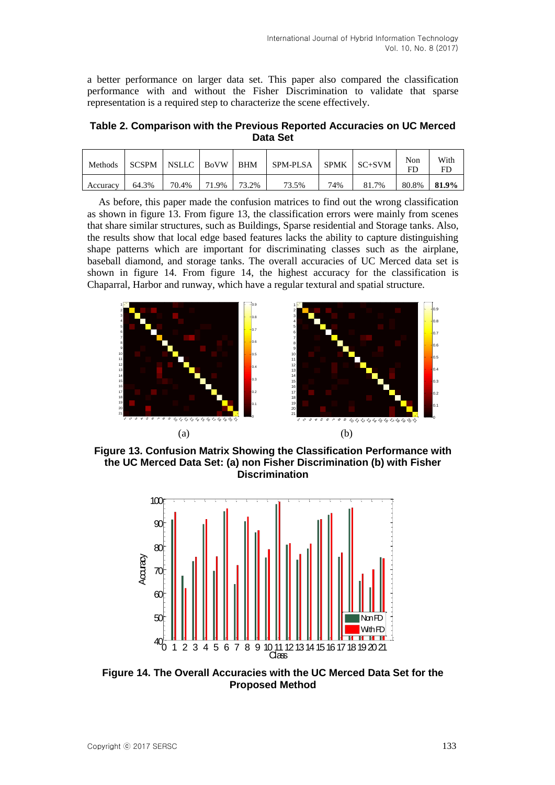a better performance on larger data set. This paper also compared the classification performance with and without the Fisher Discrimination to validate that sparse representation is a required step to characterize the scene effectively.

**Table 2. Comparison with the Previous Reported Accuracies on UC Merced Data Set**

| Methods  | <b>SCSPM</b> | NSLLC   BoVW   BHM |       |       | <b>SPM-PLSA</b> | SPMK | $SC+SVM$ | Non<br>FL | With<br>FC |
|----------|--------------|--------------------|-------|-------|-----------------|------|----------|-----------|------------|
| Accuracy | 64.3%        | 70.4%              | 71.9% | 73.2% | 73.5%           | 74%  | 81.7%    | 80.8%     | 81.9%      |

As before, this paper made the confusion matrices to find out the wrong classification as shown in figure 13. From figure 13, the classification errors were mainly from scenes that share similar structures, such as Buildings, Sparse residential and Storage tanks. Also, the results show that local edge based features lacks the ability to capture distinguishing shape patterns which are important for discriminating classes such as the airplane, baseball diamond, and storage tanks. The overall accuracies of UC Merced data set is shown in figure 14. From figure 14, the highest accuracy for the classification is Chaparral, Harbor and runway, which have a regular textural and spatial structure.



**Figure 13. Confusion Matrix Showing the Classification Performance with the UC Merced Data Set: (a) non Fisher Discrimination (b) with Fisher Discrimination**



**Figure 14. The Overall Accuracies with the UC Merced Data Set for the Proposed Method**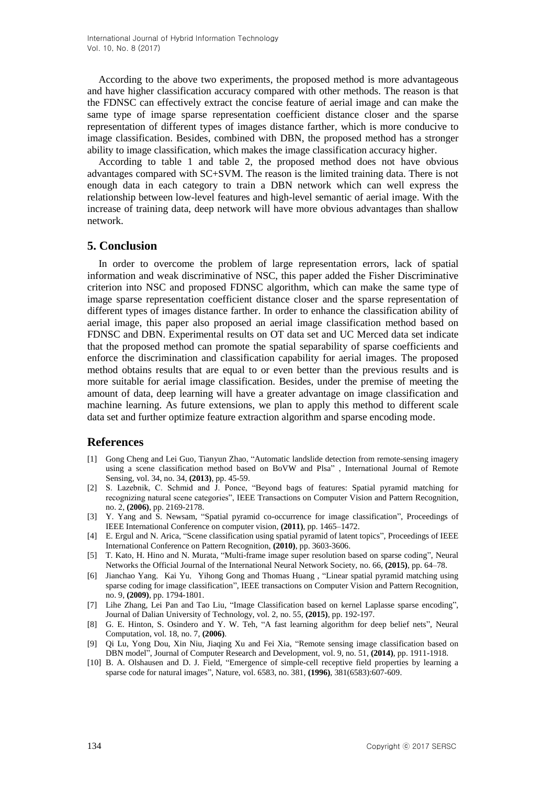According to the above two experiments, the proposed method is more advantageous and have higher classification accuracy compared with other methods. The reason is that the FDNSC can effectively extract the concise feature of aerial image and can make the same type of image sparse representation coefficient distance closer and the sparse representation of different types of images distance farther, which is more conducive to image classification. Besides, combined with DBN, the proposed method has a stronger ability to image classification, which makes the image classification accuracy higher.

According to table 1 and table 2, the proposed method does not have obvious advantages compared with SC+SVM. The reason is the limited training data. There is not enough data in each category to train a DBN network which can well express the relationship between low-level features and high-level semantic of aerial image. With the increase of training data, deep network will have more obvious advantages than shallow network.

### **5. Conclusion**

In order to overcome the problem of large representation errors, lack of spatial information and weak discriminative of NSC, this paper added the Fisher Discriminative criterion into NSC and proposed FDNSC algorithm, which can make the same type of image sparse representation coefficient distance closer and the sparse representation of different types of images distance farther. In order to enhance the classification ability of aerial image, this paper also proposed an aerial image classification method based on FDNSC and DBN. Experimental results on OT data set and UC Merced data set indicate that the proposed method can promote the spatial separability of sparse coefficients and enforce the discrimination and classification capability for aerial images. The proposed method obtains results that are equal to or even better than the previous results and is more suitable for aerial image classification. Besides, under the premise of meeting the amount of data, deep learning will have a greater advantage on image classification and machine learning. As future extensions, we plan to apply this method to different scale data set and further optimize feature extraction algorithm and sparse encoding mode.

### **References**

- [1] Gong Cheng and Lei Guo, Tianyun Zhao, "Automatic landslide detection from remote-sensing imagery using a scene classification method based on BoVW and Plsa" , International Journal of Remote Sensing, vol. 34, no. 34, **(2013)**, pp. 45-59.
- [2] S. Lazebnik, C. Schmid and J. Ponce, "Beyond bags of features: Spatial pyramid matching for recognizing natural scene categories", IEEE Transactions on Computer Vision and Pattern Recognition, no. 2, **(2006)**, pp. 2169-2178.
- [3] Y. Yang and S. Newsam, "Spatial pyramid co-occurrence for image classification", Proceedings of IEEE International Conference on computer vision, **(2011)**, pp. 1465–1472.
- [4] E. Ergul and N. Arica, "Scene classification using spatial pyramid of latent topics", Proceedings of IEEE International Conference on Pattern Recognition, **(2010)**, pp. 3603-3606.
- [5] T. Kato, H. Hino and N. Murata, "Multi-frame image super resolution based on sparse coding", Neural Networks the Official Journal of the International Neural Network Society, no. 66, **(2015)**, pp. 64–78.
- [6] Jianchao Yang, Kai Yu, Yihong Gong and Thomas Huang, "Linear spatial pyramid matching using sparse coding for image classification", IEEE transactions on Computer Vision and Pattern Recognition, no. 9, **(2009)**, pp. 1794-1801.
- [7] Lihe Zhang, Lei Pan and Tao Liu, "Image Classification based on kernel Laplasse sparse encoding", Journal of Dalian University of Technology, vol. 2, no. 55, **(2015)**, pp. 192-197.
- [8] G. E. Hinton, S. Osindero and Y. W. Teh, "A fast learning algorithm for deep belief nets", Neural Computation, vol. 18, no. 7, **(2006)**.
- [9] Qi Lu, Yong Dou, Xin Niu, Jiaqing Xu and Fei Xia, "Remote sensing image classification based on DBN model", Journal of Computer Research and Development, vol. 9, no. 51, **(2014)**, pp. 1911-1918.
- [10] B. A. Olshausen and D. J. Field, "Emergence of simple-cell receptive field properties by learning a sparse code for natural images", Nature, vol. 6583, no. 381, **(1996)**, 381(6583):607-609.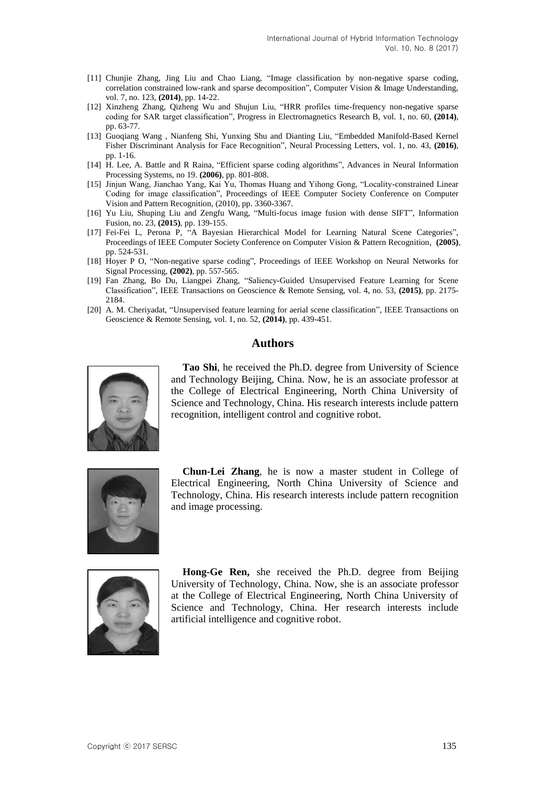- [11] Chunjie Zhang, Jing Liu and Chao Liang, "Image classification by non-negative sparse coding, correlation constrained low-rank and sparse decomposition", Computer Vision & Image Understanding, vol. 7, no. 123, **(2014)**, pp. 14-22.
- [12] Xinzheng Zhang, Qizheng Wu and Shujun Liu, "HRR profiles time-frequency non-negative sparse coding for SAR target classification", Progress in Electromagnetics Research B, vol. 1, no. 60, **(2014)**, pp. 63-77.
- [13] Guoqiang Wang , Nianfeng Shi, Yunxing Shu and Dianting Liu, "Embedded Manifold-Based Kernel Fisher Discriminant Analysis for Face Recognition", Neural Processing Letters, vol. 1, no. 43, **(2016)**, pp. 1-16.
- [14] H. Lee, A. Battle and R Raina, "Efficient sparse coding algorithms", Advances in Neural Information Processing Systems, no 19. **(2006)**, pp. 801-808.
- [15] Jinjun Wang, Jianchao Yang, Kai Yu, Thomas Huang and Yihong Gong, "Locality-constrained Linear Coding for image classification", Proceedings of IEEE Computer Society Conference on Computer Vision and Pattern Recognition, (2010), pp. 3360-3367.
- [16] Yu Liu, Shuping Liu and Zengfu Wang, "Multi-focus image fusion with dense SIFT", Information Fusion, no. 23, **(2015)**, pp. 139-155.
- [17] Fei-Fei L, Perona P, "A Bayesian Hierarchical Model for Learning Natural Scene Categories", Proceedings of IEEE Computer Society Conference on Computer Vision & Pattern Recognition, **(2005)**, pp. 524-531.
- [18] Hoyer P O, "Non-negative sparse coding", Proceedings of IEEE Workshop on Neural Networks for Signal Processing, **(2002)**, pp. 557-565.
- [19] Fan Zhang, Bo Du, Liangpei Zhang, "Saliency-Guided Unsupervised Feature Learning for Scene Classification", IEEE Transactions on Geoscience & Remote Sensing, vol. 4, no. 53, **(2015)**, pp. 2175- 2184.
- [20] A. M. Cheriyadat, "Unsupervised feature learning for aerial scene classification", IEEE Transactions on Geoscience & Remote Sensing, vol. 1, no. 52, **(2014)**, pp. 439-451.

# **Authors**



**Tao Shi**, he received the Ph.D. degree from University of Science and Technology Beijing, China. Now, he is an associate professor at the College of Electrical Engineering, North China University of Science and Technology, China. His research interests include pattern recognition, intelligent control and cognitive robot.



**Chun-Lei Zhang**, he is now a master student in College of Electrical Engineering, North China University of Science and Technology, China. His research interests include pattern recognition and image processing.



**Hong-Ge Ren,** she received the Ph.D. degree from Beijing University of Technology, China. Now, she is an associate professor at the College of Electrical Engineering, North China University of Science and Technology, China. Her research interests include artificial intelligence and cognitive robot.